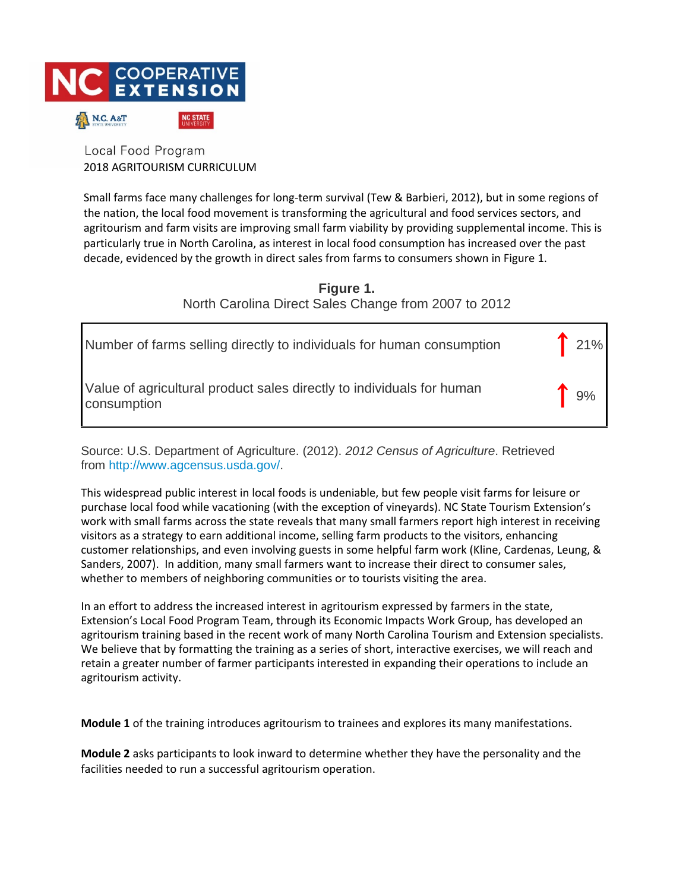

Local Food Program 2018 AGRITOURISM CURRICULUM

Small farms face many challenges for long-term survival (Tew & Barbieri, 2012), but in some regions of the nation, the local food movement is transforming the agricultural and food services sectors, and agritourism and farm visits are improving small farm viability by providing supplemental income. This is particularly true in North Carolina, as interest in local food consumption has increased over the past decade, evidenced by the growth in direct sales from farms to consumers shown in Figure 1.

> **Figure 1.** North Carolina Direct Sales Change from 2007 to 2012

| Number of farms selling directly to individuals for human consumption                | 121% |
|--------------------------------------------------------------------------------------|------|
| Value of agricultural product sales directly to individuals for human<br>consumption | 19%  |

Source: U.S. Department of Agriculture. (2012). *2012 Census of Agriculture*. Retrieved from http://www.agcensus.usda.g[ov/.](http://www.agcensus.usda.gov/) 

This widespread public interest in local foods is undeniable, but few people visit farms for leisure or purchase local food while vacationing (with the exception of vineyards). NC State Tourism Extension's work with small farms across the state reveals that many small farmers report high interest in receiving visitors as a strategy to earn additional income, selling farm products to the visitors, enhancing customer relationships, and even involving guests in some helpful farm work (Kline, Cardenas, Leung, & Sanders, 2007). In addition, many small farmers want to increase their direct to consumer sales, whether to members of neighboring communities or to tourists visiting the area.

In an effort to address the increased interest in agritourism expressed by farmers in the state, Extension's Local Food Program Team, through its Economic Impacts Work Group, has developed an agritourism training based in the recent work of many North Carolina Tourism and Extension specialists. We believe that by formatting the training as a series of short, interactive exercises, we will reach and retain a greater number of farmer participants interested in expanding their operations to include an agritourism activity.

**Module 1** of the training introduces agritourism to trainees and explores its many manifestations.

**Module 2** asks participants to look inward to determine whether they have the personality and the facilities needed to run a successful agritourism operation.